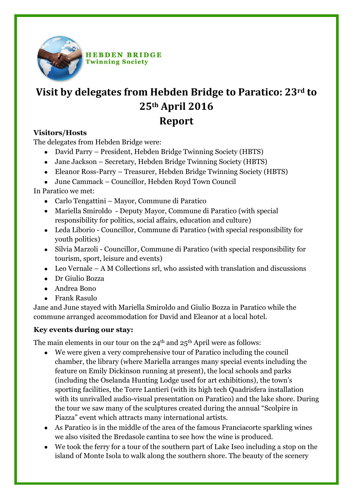

**HEBDEN BRIDGE Twinning Society** 

# **Visit by delegates from Hebden Bridge to Paratico: 23rd to 25th April 2016 Report**

## **Visitors/Hosts**

The delegates from Hebden Bridge were:

- David Parry President, Hebden Bridge Twinning Society (HBTS)
- Jane Jackson Secretary, Hebden Bridge Twinning Society (HBTS)
- Eleanor Ross-Parry Treasurer, Hebden Bridge Twinning Society (HBTS)
- June Cammack Councillor, Hebden Royd Town Council

In Paratico we met:

- Carlo Tengattini Mayor, Commune di Paratico
- Mariella Smiroldo Deputy Mayor, Commune di Paratico (with special responsibility for politics, social affairs, education and culture)
- Leda Liborio Councillor, Commune di Paratico (with special responsibility for youth politics)
- Silvia Marzoli Councillor, Commune di Paratico (with special responsibility for tourism, sport, leisure and events)
- Leo Vernale A M Collections srl, who assisted with translation and discussions
- Dr Giulio Bozza
- Andrea Bono
- Frank Rasulo  $\bullet$

Jane and June stayed with Mariella Smiroldo and Giulio Bozza in Paratico while the commune arranged accommodation for David and Eleanor at a local hotel.

### **Key events during our stay:**

The main elements in our tour on the  $24<sup>th</sup>$  and  $25<sup>th</sup>$  April were as follows:

- We were given a very comprehensive tour of Paratico including the council chamber, the library (where Mariella arranges many special events including the feature on Emily Dickinson running at present), the local schools and parks (including the Oselanda Hunting Lodge used for art exhibitions), the town's sporting facilities, the Torre Lantieri (with its high tech Quadrisfera installation with its unrivalled audio-visual presentation on Paratico) and the lake shore. During the tour we saw many of the sculptures created during the annual "Scolpire in Piazza" event which attracts many international artists.
- As Paratico is in the middle of the area of the famous Franciacorte sparkling wines we also visited the Bredasole cantina to see how the wine is produced.
- We took the ferry for a tour of the southern part of Lake Iseo including a stop on the island of Monte Isola to walk along the southern shore. The beauty of the scenery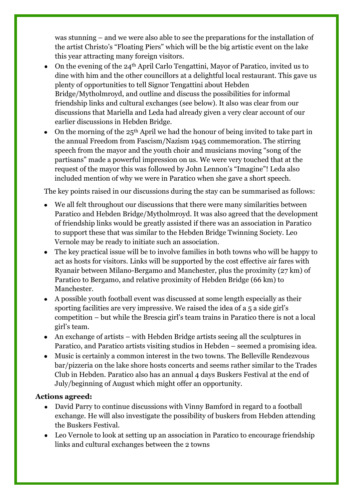was stunning – and we were also able to see the preparations for the installation of the artist Christo's "Floating Piers" which will be the big artistic event on the lake this year attracting many foreign visitors.

- On the evening of the 24th April Carlo Tengattini, Mayor of Paratico, invited us to dine with him and the other councillors at a delightful local restaurant. This gave us plenty of opportunities to tell Signor Tengattini about Hebden Bridge/Mytholmroyd, and outline and discuss the possibilities for informal friendship links and cultural exchanges (see below). It also was clear from our discussions that Mariella and Leda had already given a very clear account of our earlier discussions in Hebden Bridge.
- On the morning of the 25th April we had the honour of being invited to take part in  $\bullet$ the annual Freedom from Fascism/Nazism 1945 commemoration. The stirring speech from the mayor and the youth choir and musicians moving "song of the partisans" made a powerful impression on us. We were very touched that at the request of the mayor this was followed by John Lennon's "Imagine"! Leda also included mention of why we were in Paratico when she gave a short speech.

The key points raised in our discussions during the stay can be summarised as follows:

- We all felt throughout our discussions that there were many similarities between Paratico and Hebden Bridge/Mytholmroyd. It was also agreed that the development of friendship links would be greatly assisted if there was an association in Paratico to support these that was similar to the Hebden Bridge Twinning Society. Leo Vernole may be ready to initiate such an association.
- The key practical issue will be to involve families in both towns who will be happy to act as hosts for visitors. Links will be supported by the cost effective air fares with Ryanair between Milano-Bergamo and Manchester, plus the proximity (27 km) of Paratico to Bergamo, and relative proximity of Hebden Bridge (66 km) to Manchester.
- A possible youth football event was discussed at some length especially as their sporting facilities are very impressive. We raised the idea of a 5 a side girl's competition – but while the Brescia girl's team trains in Paratico there is not a local girl's team.
- An exchange of artists with Hebden Bridge artists seeing all the sculptures in Paratico, and Paratico artists visiting studios in Hebden – seemed a promising idea.
- Music is certainly a common interest in the two towns. The Belleville Rendezvous bar/pizzeria on the lake shore hosts concerts and seems rather similar to the Trades Club in Hebden. Paratico also has an annual 4 days Buskers Festival at the end of July/beginning of August which might offer an opportunity.

### **Actions agreed:**

- David Parry to continue discussions with Vinny Bamford in regard to a football  $\bullet$ exchange. He will also investigate the possibility of buskers from Hebden attending the Buskers Festival.
- Leo Vernole to look at setting up an association in Paratico to encourage friendship  $\bullet$ links and cultural exchanges between the 2 towns